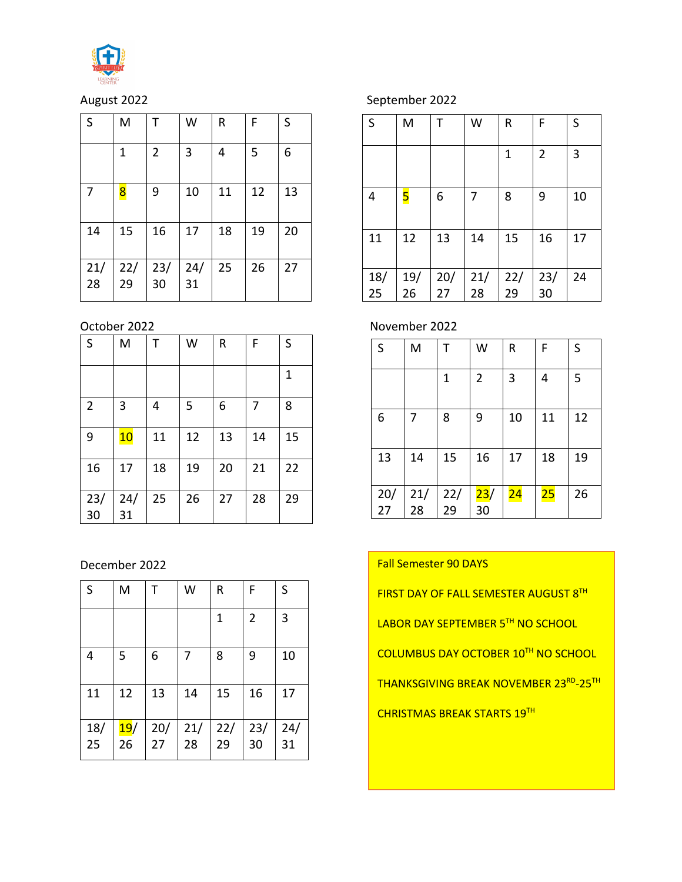

| S         | M         |                 | W         | R  | F  | S  |
|-----------|-----------|-----------------|-----------|----|----|----|
|           | 1         | 2               | 3         | 4  | 5  | 6  |
| 7         | 8         | 9               | 10        | 11 | 12 | 13 |
| 14        | 15        | 16              | 17        | 18 | 19 | 20 |
| 21/<br>28 | 22/<br>29 | $\frac{23}{30}$ | 24/<br>31 | 25 | 26 | 27 |

| S              | M         | Т  | W  | R  | F  | S  |
|----------------|-----------|----|----|----|----|----|
|                |           |    |    |    |    | 1  |
| $\overline{2}$ | 3         | 4  | 5  | 6  | 7  | 8  |
| 9              | 10        | 11 | 12 | 13 | 14 | 15 |
| 16             | 17        | 18 | 19 | 20 | 21 | 22 |
| 23/<br>30      | 24/<br>31 | 25 | 26 | 27 | 28 | 29 |

December 2022

| S         | M                       |           | W         | R         | F              | S         |
|-----------|-------------------------|-----------|-----------|-----------|----------------|-----------|
|           |                         |           |           | 1         | $\overline{2}$ | 3         |
| 4         | 5                       | 6         | 7         | 8         | 9              | 10        |
| 11        | 12                      | 13        | 14        | 15        | 16             | 17        |
| 18/<br>25 | <mark>19</mark> /<br>26 | 20/<br>27 | 21/<br>28 | 22/<br>29 | 23/<br>30      | 24/<br>31 |

# August 2022 September 2022

| S   | M   | Т   | W   | R   | F              | S  |
|-----|-----|-----|-----|-----|----------------|----|
|     |     |     |     | 1   | $\overline{2}$ | 3  |
| 4   | 5   | 6   | 7   | 8   | 9              | 10 |
| 11  | 12  | 13  | 14  | 15  | 16             | 17 |
| 18/ | 19/ | 20/ | 21/ | 22/ | 23/            | 24 |
| 25  | 26  | 27  | 28  | 29  | 30             |    |

October 2022 November 2022

| $\mathsf S$ | M         | т         | W              | R               | F  | S  |
|-------------|-----------|-----------|----------------|-----------------|----|----|
|             |           | 1         | $\overline{2}$ | 3               | 4  | 5  |
| 6           | 7         | 8         | 9              | 10              | 11 | 12 |
| 13          | 14        | 15        | 16             | 17              | 18 | 19 |
| 20/<br>27   | 21/<br>28 | 22/<br>29 | 23/<br>30      | $\overline{24}$ | 25 | 26 |

Fall Semester 90 DAYS

FIRST DAY OF FALL SEMESTER AUGUST 8TH

LABOR DAY SEPTEMBER 5TH NO SCHOOL

**COLUMBUS DAY OCTOBER 10TH NO SCHOOL** 

THANKSGIVING BREAK NOVEMBER 23RD-25TH

**CHRISTMAS BREAK STARTS 19TH**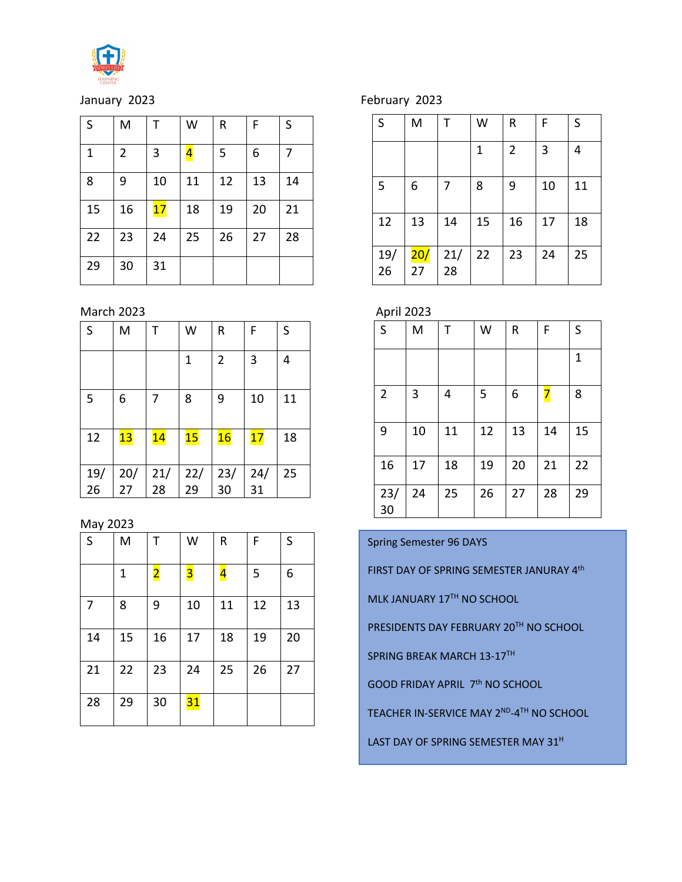

January 2023 **February 2023** 

| S  | M  | Т  | W                       | R  | F  | S  |
|----|----|----|-------------------------|----|----|----|
| 1  | 2  | 3  | $\overline{\mathbf{r}}$ | 5  | 6  | 7  |
| 8  | 9  | 10 | 11                      | 12 | 13 | 14 |
| 15 | 16 | 17 | 18                      | 19 | 20 | 21 |
| 22 | 23 | 24 | 25                      | 26 | 27 | 28 |
| 29 | 30 | 31 |                         |    |    |    |

March 2023 **April 2023** 

| S   | M   |     | W   | R              | F   | S  |
|-----|-----|-----|-----|----------------|-----|----|
|     |     |     | 1   | $\overline{2}$ | 3   | 4  |
| 5   | 6   | 7   | 8   | 9              | 10  | 11 |
| 12  | 13  | 14  | 15  | 16             | 17  | 18 |
| 19/ | 20/ | 21/ | 22/ | 23/            | 24/ | 25 |
| 26  | 27  | 28  | 29  | 30             | 31  |    |

## May 2023

| S  | M  | т                       | W              | R                       | F  | S  |
|----|----|-------------------------|----------------|-------------------------|----|----|
|    | 1  | $\overline{\mathbf{2}}$ | <mark>3</mark> | $\overline{\mathbf{r}}$ | 5  | 6  |
| 7  | 8  | 9                       | 10             | 11                      | 12 | 13 |
| 14 | 15 | 16                      | 17             | 18                      | 19 | 20 |
| 21 | 22 | 23                      | 24             | 25                      | 26 | 27 |
| 28 | 29 | 30                      | 31             |                         |    |    |

| S         | M         | т         | W  | R              | F  | S  |
|-----------|-----------|-----------|----|----------------|----|----|
|           |           |           | 1  | $\overline{2}$ | 3  | 4  |
| 5         | 6         | 7         | 8  | 9              | 10 | 11 |
| 12        | 13        | 14        | 15 | 16             | 17 | 18 |
| 19/<br>26 | 20/<br>27 | 21/<br>28 | 22 | 23             | 24 | 25 |

| S              | M  | т  | W  | R  | F  | S  |
|----------------|----|----|----|----|----|----|
|                |    |    |    |    |    | 1  |
| $\overline{2}$ | 3  | 4  | 5  | 6  | 7  | 8  |
| 9              | 10 | 11 | 12 | 13 | 14 | 15 |
| 16             | 17 | 18 | 19 | 20 | 21 | 22 |
| 23/<br>30      | 24 | 25 | 26 | 27 | 28 | 29 |

Spring Semester 96 DAYS

FIRST DAY OF SPRING SEMESTER JANURAY 4th

MLK JANUARY 17TH NO SCHOOL

PRESIDENTS DAY FEBRUARY 20TH NO SCHOOL

SPRING BREAK MARCH 13-17TH

GOOD FRIDAY APRIL 7th NO SCHOOL

TEACHER IN-SERVICE MAY 2ND-4TH NO SCHOOL

LAST DAY OF SPRING SEMESTER MAY 31<sup>H</sup>